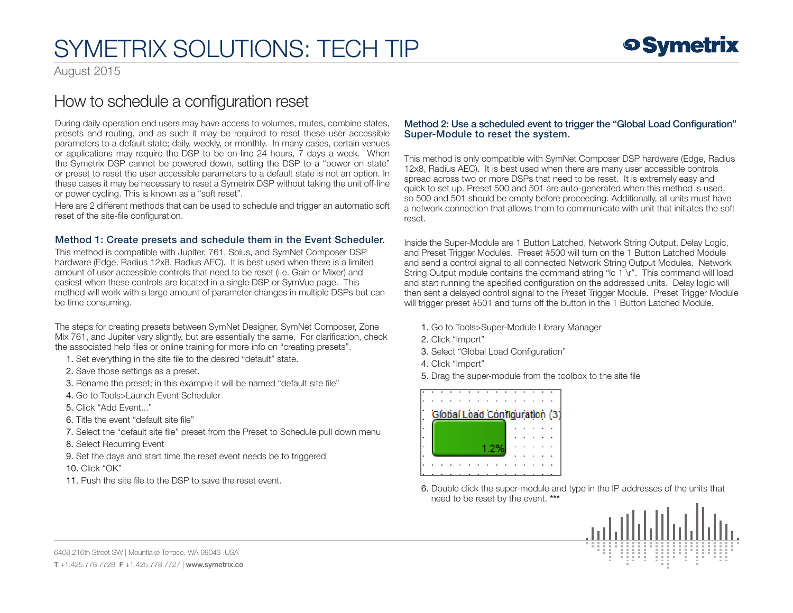### SYMETRIX SOLUTIONS: TECH TIP

August 2015

### How to schedule a configuration reset

During daily operation end users may have access to volumes, mutes, combine states, presets and routing, and as such it may be required to reset these user accessible parameters to a default state; daily, weekly, or monthly. In many cases, certain venues or applications may require the DSP to be on-line 24 hours, 7 days a week. When the Symetrix DSP cannot be powered down, setting the DSP to a "power on state" or preset to reset the user accessible parameters to a default state is not an option. In these cases it may be necessary to reset a Symetrix DSP without taking the unit off-line or power cycling. This is known as a "soft reset".

Here are 2 different methods that can be used to schedule and trigger an automatic soft reset of the site-file configuration.

#### Method 1: Create presets and schedule them in the Event Scheduler.

This method is compatible with Jupiter, 761, Solus, and SymNet Composer DSP hardware (Edge, Radius 12x8, Radius AEC). It is best used when there is a limited amount of user accessible controls that need to be reset (i.e. Gain or Mixer) and easiest when these controls are located in a single DSP or SymVue page. This method will work with a large amount of parameter changes in multiple DSPs but can be time consuming.

The steps for creating presets between SymNet Designer, SymNet Composer, Zone Mix 761, and Jupiter vary slightly, but are essentially the same. For clarification, check the associated help files or online training for more info on "creating presets".

1. Set everything in the site file to the desired "default" state.

- 2. Save those settings as a preset.
- 3. Rename the preset; in this example it will be named "default site file"
- 4. Go to Tools>Launch Event Scheduler
- 5. Click "Add Event..."
- 6. Title the event "default site file"
- 7. Select the "default site file" preset from the Preset to Schedule pull down menu
- 8. Select Recurring Event
- 9. Set the days and start time the reset event needs be to triggered

10. Click "OK"

11. Push the site file to the DSP to save the reset event.

#### Method 2: Use a scheduled event to trigger the "Global Load Configuration" Super-Module to reset the system.

This method is only compatible with SymNet Composer DSP hardware (Edge, Radius 12x8, Radius AEC). It is best used when there are many user accessible controls spread across two or more DSPs that need to be reset. It is extremely easy and quick to set up. Preset 500 and 501 are auto-generated when this method is used, so 500 and 501 should be empty before proceeding. Additionally, all units must have a network connection that allows them to communicate with unit that initiates the soft reset.

Inside the Super-Module are 1 Button Latched, Network String Output, Delay Logic, and Preset Trigger Modules. Preset #500 will turn on the 1 Button Latched Module and send a control signal to all connected Network String Output Modules. Network String Output module contains the command string "Ic 1 \r". This command will load and start running the specified configuration on the addressed units. Delay logic will then sent a delayed control signal to the Preset Trigger Module. Preset Trigger Module will trigger preset #501 and turns off the button in the 1 Button Latched Module.

- 1. Go to Tools>Super-Module Library Manager
- 2. Click "Import"
- 3. Select "Global Load Configuration"
- 4. Click "Import"
- 5. Drag the super-module from the toolbox to the site file



6. Double click the super-module and type in the IP addresses of the units that need to be reset by the event. \*\*\*



6408 216th Street SW | Mountlake Terrace, WA 98043 USA T +1.425.778.7728 F +1.425.778.7727 | www.symetrix.co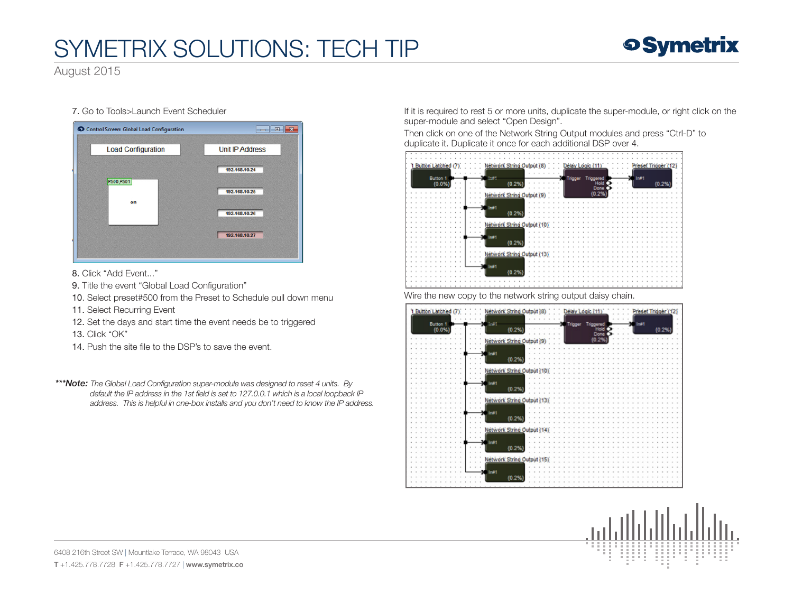## SYMETRIX SOLUTIONS: TECH TIP



August 2015

#### 7. Go to Tools>Launch Event Scheduler

| Control Screen: Global Load Configuration | $\mathbf{x}$<br>同<br><b>COL</b> |
|-------------------------------------------|---------------------------------|
| <b>Load Configuration</b>                 | <b>Unit IP Address</b>          |
|                                           | 192.168.10.24                   |
| P500, P501                                | 192.168.10.25                   |
| on                                        | 192.168.10.26                   |
|                                           | 192.168.10.27                   |
|                                           |                                 |

8. Click "Add Event..."

- 9. Title the event "Global Load Configuration"
- 10. Select preset#500 from the Preset to Schedule pull down menu
- 11. Select Recurring Event
- 12. Set the days and start time the event needs be to triggered

13. Click "OK"

14. Push the site file to the DSP's to save the event.

*\*\*\*Note: The Global Load Configuration super-module was designed to reset 4 units. By default the IP address in the 1st field is set to 127.0.0.1 which is a local loopback IP address. This is helpful in one-box installs and you don't need to know the IP address.* If it is required to rest 5 or more units, duplicate the super-module, or right click on the super-module and select "Open Design".

Then click on one of the Network String Output modules and press "Ctrl-D" to duplicate it. Duplicate it once for each additional DSP over 4.



Wire the new copy to the network string output daisy chain.